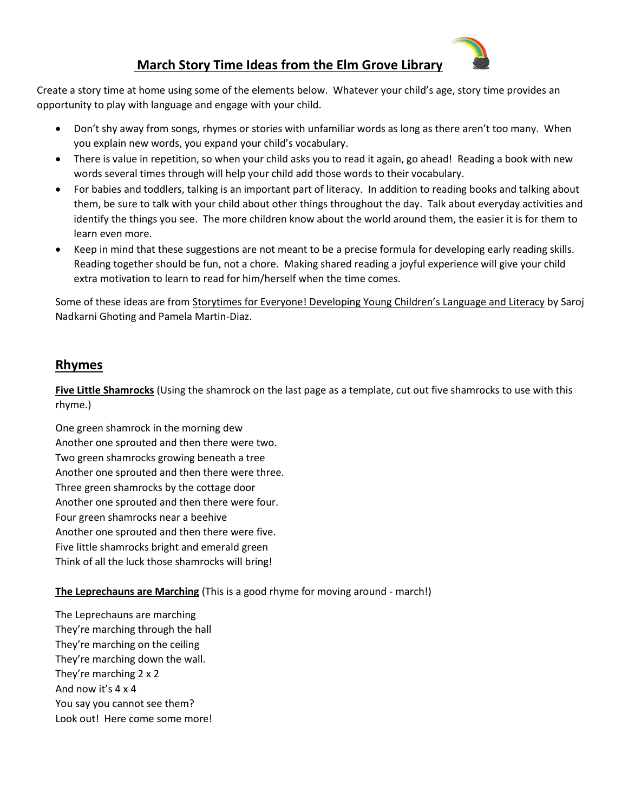

# **March Story Time Ideas from the Elm Grove Library**

Create a story time at home using some of the elements below. Whatever your child's age, story time provides an opportunity to play with language and engage with your child.

- Don't shy away from songs, rhymes or stories with unfamiliar words as long as there aren't too many. When you explain new words, you expand your child's vocabulary.
- There is value in repetition, so when your child asks you to read it again, go ahead! Reading a book with new words several times through will help your child add those words to their vocabulary.
- For babies and toddlers, talking is an important part of literacy. In addition to reading books and talking about them, be sure to talk with your child about other things throughout the day. Talk about everyday activities and identify the things you see. The more children know about the world around them, the easier it is for them to learn even more.
- Keep in mind that these suggestions are not meant to be a precise formula for developing early reading skills. Reading together should be fun, not a chore. Making shared reading a joyful experience will give your child extra motivation to learn to read for him/herself when the time comes.

Some of these ideas are from Storytimes for Everyone! Developing Young Children's Language and Literacy by Saroj Nadkarni Ghoting and Pamela Martin-Diaz.

# **Rhymes**

**Five Little Shamrocks** (Using the shamrock on the last page as a template, cut out five shamrocks to use with this rhyme.)

One green shamrock in the morning dew Another one sprouted and then there were two. Two green shamrocks growing beneath a tree Another one sprouted and then there were three. Three green shamrocks by the cottage door Another one sprouted and then there were four. Four green shamrocks near a beehive Another one sprouted and then there were five. Five little shamrocks bright and emerald green Think of all the luck those shamrocks will bring!

### **The Leprechauns are Marching** (This is a good rhyme for moving around - march!)

The Leprechauns are marching They're marching through the hall They're marching on the ceiling They're marching down the wall. They're marching 2 x 2 And now it's 4 x 4 You say you cannot see them? Look out! Here come some more!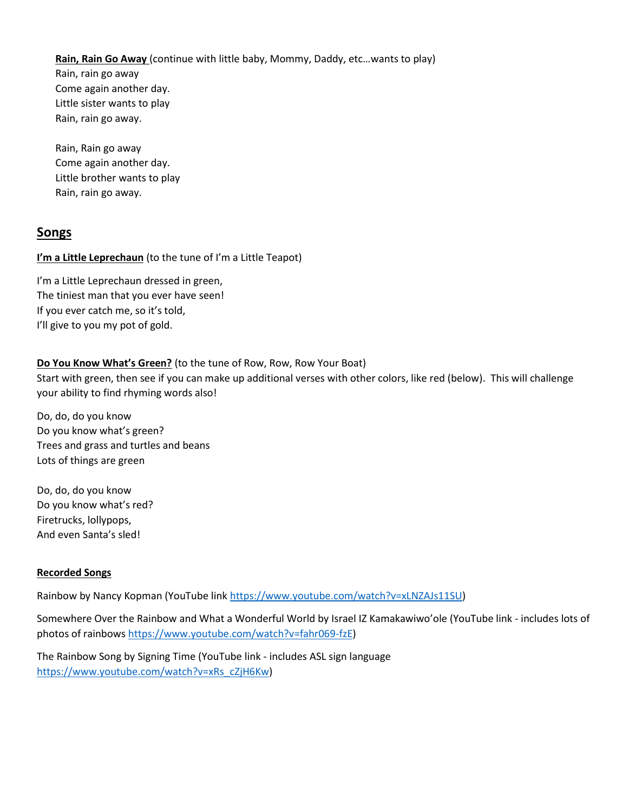**Rain, Rain Go Away** (continue with little baby, Mommy, Daddy, etc…wants to play) Rain, rain go away Come again another day. Little sister wants to play Rain, rain go away.

Rain, Rain go away Come again another day. Little brother wants to play Rain, rain go away.

## **Songs**

**I'm a Little Leprechaun** (to the tune of I'm a Little Teapot)

I'm a Little Leprechaun dressed in green, The tiniest man that you ever have seen! If you ever catch me, so it's told, I'll give to you my pot of gold.

#### **Do You Know What's Green?** (to the tune of Row, Row, Row Your Boat)

Start with green, then see if you can make up additional verses with other colors, like red (below). This will challenge your ability to find rhyming words also!

Do, do, do you know Do you know what's green? Trees and grass and turtles and beans Lots of things are green

Do, do, do you know Do you know what's red? Firetrucks, lollypops, And even Santa's sled!

#### **Recorded Songs**

Rainbow by Nancy Kopman (YouTube link [https://www.youtube.com/watch?v=xLNZAJs11SU\)](https://www.youtube.com/watch?v=xLNZAJs11SU)

Somewhere Over the Rainbow and What a Wonderful World by Israel IZ Kamakawiwo'ole (YouTube link - includes lots of photos of rainbows [https://www.youtube.com/watch?v=fahr069-fzE\)](https://www.youtube.com/watch?v=fahr069-fzE)

The Rainbow Song by Signing Time (YouTube link - includes ASL sign language [https://www.youtube.com/watch?v=xRs\\_cZjH6Kw\)](https://www.youtube.com/watch?v=xRs_cZjH6Kw)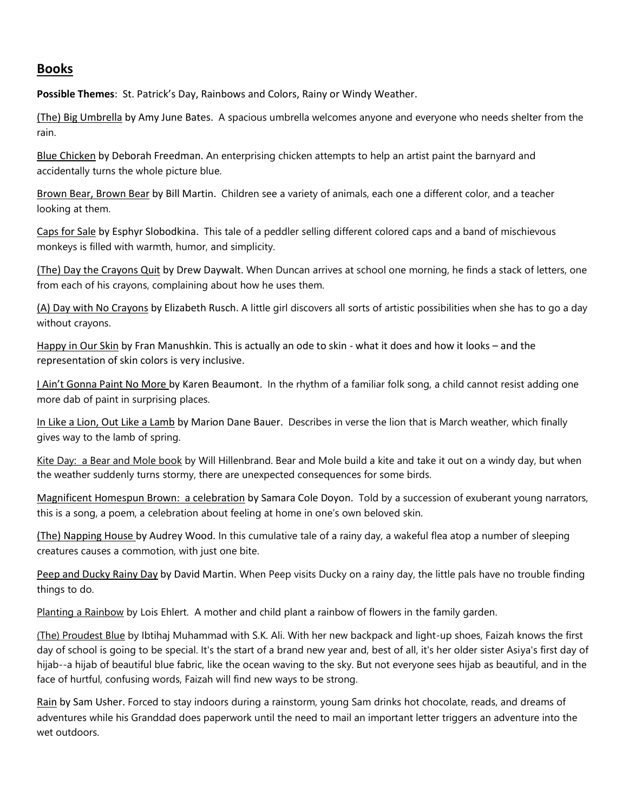### **Books**

**Possible Themes**: St. Patrick's Day, Rainbows and Colors, Rainy or Windy Weather.

(The) Big Umbrella by Amy June Bates. A spacious umbrella welcomes anyone and everyone who needs shelter from the rain.

Blue Chicken by Deborah Freedman. An enterprising chicken attempts to help an artist paint the barnyard and accidentally turns the whole picture blue.

Brown Bear, Brown Bear by Bill Martin. Children see a variety of animals, each one a different color, and a teacher looking at them.

Caps for Sale by Esphyr Slobodkina. This tale of a peddler selling different colored caps and a band of mischievous monkeys is filled with warmth, humor, and simplicity.

(The) Day the Crayons Quit by Drew Daywalt. When Duncan arrives at school one morning, he finds a stack of letters, one from each of his crayons, complaining about how he uses them.

(A) Day with No Crayons by Elizabeth Rusch. A little girl discovers all sorts of artistic possibilities when she has to go a day without crayons.

Happy in Our Skin by Fran Manushkin. This is actually an ode to skin - what it does and how it looks – and the representation of skin colors is very inclusive.

I Ain't Gonna Paint No More by Karen Beaumont. In the rhythm of a familiar folk song, a child cannot resist adding one more dab of paint in surprising places.

In Like a Lion, Out Like a Lamb by Marion Dane Bauer. Describes in verse the lion that is March weather, which finally gives way to the lamb of spring.

Kite Day: a Bear and Mole book by Will Hillenbrand. Bear and Mole build a kite and take it out on a windy day, but when the weather suddenly turns stormy, there are unexpected consequences for some birds.

Magnificent Homespun Brown: a celebration by Samara Cole Doyon. Told by a succession of exuberant young narrators, this is a song, a poem, a celebration about feeling at home in one's own beloved skin.

(The) Napping House by Audrey Wood. In this cumulative tale of a rainy day, a wakeful flea atop a number of sleeping creatures causes a commotion, with just one bite.

Peep and Ducky Rainy Day by David Martin. When Peep visits Ducky on a rainy day, the little pals have no trouble finding things to do.

Planting a Rainbow by Lois Ehlert. A mother and child plant a rainbow of flowers in the family garden.

(The) Proudest Blue by Ibtihaj Muhammad with S.K. Ali. With her new backpack and light-up shoes, Faizah knows the first day of school is going to be special. It's the start of a brand new year and, best of all, it's her older sister Asiya's first day of hijab--a hijab of beautiful blue fabric, like the ocean waving to the sky. But not everyone sees hijab as beautiful, and in the face of hurtful, confusing words, Faizah will find new ways to be strong.

Rain by Sam Usher. Forced to stay indoors during a rainstorm, young Sam drinks hot chocolate, reads, and dreams of adventures while his Granddad does paperwork until the need to mail an important letter triggers an adventure into the wet outdoors.